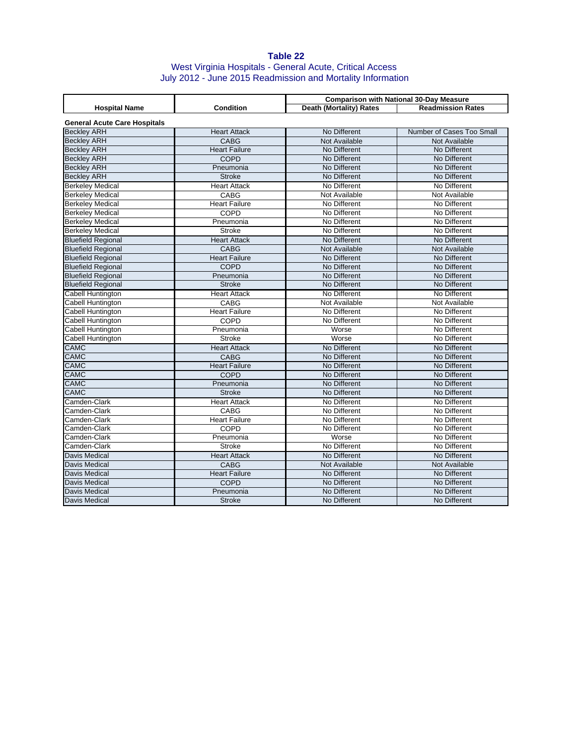|                                     |                      | <b>Comparison with National 30-Day Measure</b> |                           |
|-------------------------------------|----------------------|------------------------------------------------|---------------------------|
| <b>Hospital Name</b>                | <b>Condition</b>     | Death (Mortality) Rates                        | <b>Readmission Rates</b>  |
| <b>General Acute Care Hospitals</b> |                      |                                                |                           |
| <b>Beckley ARH</b>                  | <b>Heart Attack</b>  | No Different                                   | Number of Cases Too Small |
| <b>Beckley ARH</b>                  | <b>CABG</b>          | <b>Not Available</b>                           | Not Available             |
| <b>Beckley ARH</b>                  | <b>Heart Failure</b> | No Different                                   | No Different              |
| <b>Beckley ARH</b>                  | <b>COPD</b>          | <b>No Different</b>                            | No Different              |
| <b>Beckley ARH</b>                  | Pneumonia            | No Different                                   | No Different              |
| <b>Beckley ARH</b>                  | <b>Stroke</b>        | No Different                                   | No Different              |
| <b>Berkeley Medical</b>             | <b>Heart Attack</b>  | No Different                                   | No Different              |
| <b>Berkeley Medical</b>             | <b>CABG</b>          | Not Available                                  | Not Available             |
| <b>Berkeley Medical</b>             | <b>Heart Failure</b> | No Different                                   | No Different              |
| <b>Berkeley Medical</b>             | <b>COPD</b>          | No Different                                   | No Different              |
| <b>Berkeley Medical</b>             | Pneumonia            | No Different                                   | No Different              |
| <b>Berkeley Medical</b>             | <b>Stroke</b>        | No Different                                   | No Different              |
| <b>Bluefield Regional</b>           | <b>Heart Attack</b>  | No Different                                   | No Different              |
| <b>Bluefield Regional</b>           | <b>CABG</b>          | Not Available                                  | <b>Not Available</b>      |
| <b>Bluefield Regional</b>           | <b>Heart Failure</b> | No Different                                   | No Different              |
| <b>Bluefield Regional</b>           | <b>COPD</b>          | No Different                                   | No Different              |
| <b>Bluefield Regional</b>           | Pneumonia            | No Different                                   | No Different              |
| <b>Bluefield Regional</b>           | <b>Stroke</b>        | No Different                                   | No Different              |
| <b>Cabell Huntington</b>            | <b>Heart Attack</b>  | No Different                                   | No Different              |
| Cabell Huntington                   | CABG                 | Not Available                                  | Not Available             |
| Cabell Huntington                   | <b>Heart Failure</b> | No Different                                   | No Different              |
| Cabell Huntington                   | <b>COPD</b>          | No Different                                   | No Different              |
| <b>Cabell Huntington</b>            | Pneumonia            | Worse                                          | No Different              |
| Cabell Huntington                   | <b>Stroke</b>        | Worse                                          | No Different              |
| <b>CAMC</b>                         | <b>Heart Attack</b>  | No Different                                   | No Different              |
| <b>CAMC</b>                         | <b>CABG</b>          | No Different                                   | No Different              |
| CAMC                                | <b>Heart Failure</b> | No Different                                   | No Different              |
| <b>CAMC</b>                         | <b>COPD</b>          | No Different                                   | No Different              |
| <b>CAMC</b>                         | Pneumonia            | No Different                                   | No Different              |
| <b>CAMC</b>                         | <b>Stroke</b>        | No Different                                   | No Different              |
| Camden-Clark                        | <b>Heart Attack</b>  | No Different                                   | No Different              |
| Camden-Clark                        | <b>CABG</b>          | No Different                                   | No Different              |
| Camden-Clark                        | <b>Heart Failure</b> | No Different                                   | No Different              |
| Camden-Clark                        | COPD                 | No Different                                   | No Different              |
| Camden-Clark                        | Pneumonia            | Worse                                          | No Different              |
| Camden-Clark                        | <b>Stroke</b>        | No Different                                   | No Different              |
| Davis Medical                       | <b>Heart Attack</b>  | No Different                                   | No Different              |
| Davis Medical                       | <b>CABG</b>          | <b>Not Available</b>                           | Not Available             |
| Davis Medical                       | <b>Heart Failure</b> | No Different                                   | No Different              |
| <b>Davis Medical</b>                | <b>COPD</b>          | No Different                                   | No Different              |
| Davis Medical                       | Pneumonia            | No Different                                   | No Different              |
| <b>Davis Medical</b>                | <b>Stroke</b>        | No Different                                   | No Different              |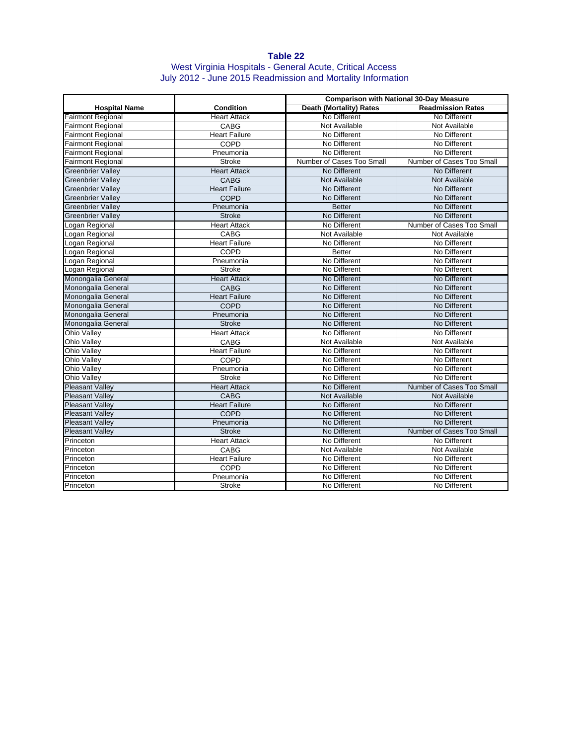|                          |                      | <b>Comparison with National 30-Day Measure</b> |                           |
|--------------------------|----------------------|------------------------------------------------|---------------------------|
| <b>Hospital Name</b>     | <b>Condition</b>     | Death (Mortality) Rates                        | <b>Readmission Rates</b>  |
| Fairmont Regional        | <b>Heart Attack</b>  | No Different                                   | No Different              |
| <b>Fairmont Regional</b> | CABG                 | Not Available                                  | Not Available             |
| <b>Fairmont Regional</b> | <b>Heart Failure</b> | No Different                                   | No Different              |
| Fairmont Regional        | COPD                 | No Different                                   | No Different              |
| <b>Fairmont Regional</b> | Pneumonia            | No Different                                   | No Different              |
| Fairmont Regional        | <b>Stroke</b>        | Number of Cases Too Small                      | Number of Cases Too Small |
| <b>Greenbrier Valley</b> | <b>Heart Attack</b>  | No Different                                   | No Different              |
| <b>Greenbrier Valley</b> | <b>CABG</b>          | <b>Not Available</b>                           | Not Available             |
| <b>Greenbrier Valley</b> | <b>Heart Failure</b> | No Different                                   | No Different              |
| Greenbrier Valley        | <b>COPD</b>          | No Different                                   | No Different              |
| <b>Greenbrier Valley</b> | Pneumonia            | <b>Better</b>                                  | No Different              |
| <b>Greenbrier Valley</b> | <b>Stroke</b>        | No Different                                   | No Different              |
| Logan Regional           | <b>Heart Attack</b>  | No Different                                   | Number of Cases Too Small |
| Logan Regional           | CABG                 | Not Available                                  | Not Available             |
| Logan Regional           | <b>Heart Failure</b> | No Different                                   | No Different              |
| Logan Regional           | COPD                 | <b>Better</b>                                  | No Different              |
| Logan Regional           | Pneumonia            | No Different                                   | No Different              |
| Logan Regional           | <b>Stroke</b>        | No Different                                   | No Different              |
| Monongalia General       | <b>Heart Attack</b>  | No Different                                   | No Different              |
| Monongalia General       | <b>CABG</b>          | No Different                                   | No Different              |
| Monongalia General       | <b>Heart Failure</b> | No Different                                   | No Different              |
| Monongalia General       | <b>COPD</b>          | No Different                                   | No Different              |
| Monongalia General       | Pneumonia            | No Different                                   | No Different              |
| Monongalia General       | <b>Stroke</b>        | No Different                                   | No Different              |
| <b>Ohio Valley</b>       | <b>Heart Attack</b>  | No Different                                   | No Different              |
| Ohio Valley              | CABG                 | Not Available                                  | Not Available             |
| Ohio Valley              | <b>Heart Failure</b> | No Different                                   | No Different              |
| Ohio Valley              | COPD                 | No Different                                   | No Different              |
| Ohio Valley              | Pneumonia            | No Different                                   | No Different              |
| <b>Ohio Valley</b>       | <b>Stroke</b>        | No Different                                   | No Different              |
| <b>Pleasant Valley</b>   | <b>Heart Attack</b>  | No Different                                   | Number of Cases Too Small |
| <b>Pleasant Valley</b>   | <b>CABG</b>          | <b>Not Available</b>                           | <b>Not Available</b>      |
| <b>Pleasant Valley</b>   | <b>Heart Failure</b> | No Different                                   | No Different              |
| <b>Pleasant Valley</b>   | <b>COPD</b>          | No Different                                   | No Different              |
| <b>Pleasant Valley</b>   | Pneumonia            | No Different                                   | No Different              |
| <b>Pleasant Valley</b>   | <b>Stroke</b>        | No Different                                   | Number of Cases Too Small |
| Princeton                | <b>Heart Attack</b>  | No Different                                   | No Different              |
| Princeton                | CABG                 | Not Available                                  | Not Available             |
| Princeton                | <b>Heart Failure</b> | No Different                                   | No Different              |
| Princeton                | COPD                 | No Different                                   | No Different              |
| Princeton                | Pneumonia            | No Different                                   | No Different              |
| Princeton                | <b>Stroke</b>        | No Different                                   | No Different              |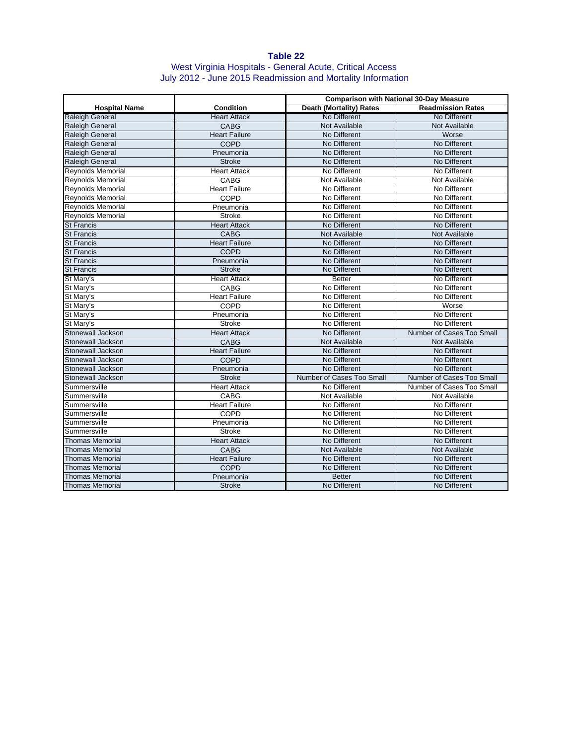|                          |                      | <b>Comparison with National 30-Day Measure</b> |                           |
|--------------------------|----------------------|------------------------------------------------|---------------------------|
| <b>Hospital Name</b>     | <b>Condition</b>     | Death (Mortality) Rates                        | <b>Readmission Rates</b>  |
| <b>Raleigh General</b>   | <b>Heart Attack</b>  | No Different                                   | No Different              |
| Raleigh General          | <b>CABG</b>          | Not Available                                  | Not Available             |
| <b>Raleigh General</b>   | <b>Heart Failure</b> | No Different                                   | Worse                     |
| <b>Raleigh General</b>   | <b>COPD</b>          | No Different                                   | No Different              |
| Raleigh General          | Pneumonia            | No Different                                   | No Different              |
| <b>Raleigh General</b>   | <b>Stroke</b>        | No Different                                   | No Different              |
| <b>Reynolds Memorial</b> | <b>Heart Attack</b>  | No Different                                   | No Different              |
| <b>Reynolds Memorial</b> | CABG                 | Not Available                                  | Not Available             |
| <b>Reynolds Memorial</b> | <b>Heart Failure</b> | No Different                                   | No Different              |
| Reynolds Memorial        | COPD                 | No Different                                   | No Different              |
| <b>Reynolds Memorial</b> | Pneumonia            | No Different                                   | No Different              |
| <b>Reynolds Memorial</b> | <b>Stroke</b>        | No Different                                   | No Different              |
| <b>St Francis</b>        | <b>Heart Attack</b>  | No Different                                   | No Different              |
| <b>St Francis</b>        | <b>CABG</b>          | Not Available                                  | Not Available             |
| <b>St Francis</b>        | <b>Heart Failure</b> | No Different                                   | No Different              |
| <b>St Francis</b>        | <b>COPD</b>          | No Different                                   | No Different              |
| <b>St Francis</b>        | Pneumonia            | No Different                                   | No Different              |
| <b>St Francis</b>        | <b>Stroke</b>        | No Different                                   | No Different              |
| St Mary's                | <b>Heart Attack</b>  | <b>Better</b>                                  | No Different              |
| St Mary's                | CABG                 | No Different                                   | No Different              |
| St Mary's                | <b>Heart Failure</b> | No Different                                   | No Different              |
| St Mary's                | COPD                 | No Different                                   | Worse                     |
| St Mary's                | Pneumonia            | No Different                                   | No Different              |
| St Mary's                | <b>Stroke</b>        | No Different                                   | No Different              |
| Stonewall Jackson        | <b>Heart Attack</b>  | No Different                                   | Number of Cases Too Small |
| Stonewall Jackson        | CABG                 | Not Available                                  | <b>Not Available</b>      |
| Stonewall Jackson        | <b>Heart Failure</b> | No Different                                   | No Different              |
| Stonewall Jackson        | <b>COPD</b>          | No Different                                   | No Different              |
| Stonewall Jackson        | Pneumonia            | No Different                                   | No Different              |
| Stonewall Jackson        | <b>Stroke</b>        | Number of Cases Too Small                      | Number of Cases Too Small |
| Summersville             | <b>Heart Attack</b>  | No Different                                   | Number of Cases Too Small |
| Summersville             | CABG                 | Not Available                                  | Not Available             |
| Summersville             | <b>Heart Failure</b> | No Different                                   | No Different              |
| Summersville             | COPD                 | No Different                                   | No Different              |
| Summersville             | Pneumonia            | No Different                                   | No Different              |
| Summersville             | <b>Stroke</b>        | No Different                                   | No Different              |
| <b>Thomas Memorial</b>   | <b>Heart Attack</b>  | No Different                                   | No Different              |
| <b>Thomas Memorial</b>   | <b>CABG</b>          | Not Available                                  | <b>Not Available</b>      |
| <b>Thomas Memorial</b>   | <b>Heart Failure</b> | No Different                                   | No Different              |
| <b>Thomas Memorial</b>   | <b>COPD</b>          | No Different                                   | No Different              |
| <b>Thomas Memorial</b>   | Pneumonia            | <b>Better</b>                                  | No Different              |
| <b>Thomas Memorial</b>   | <b>Stroke</b>        | No Different                                   | No Different              |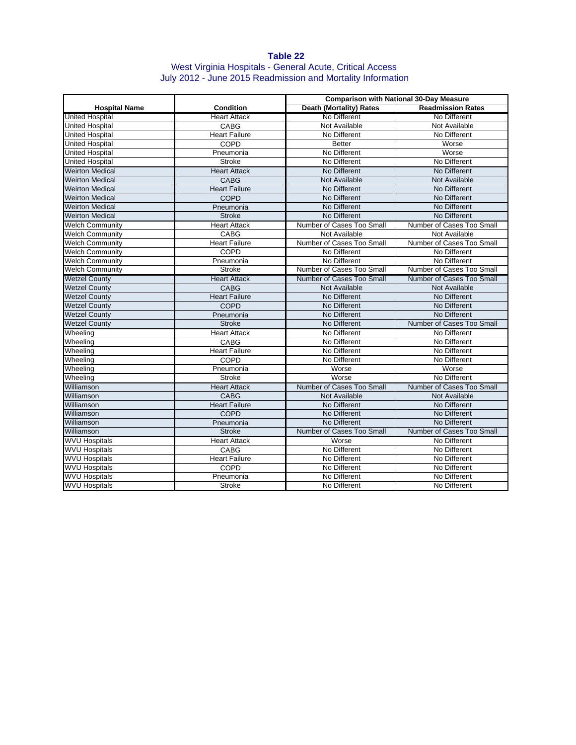|                        |                      | <b>Comparison with National 30-Day Measure</b> |                           |
|------------------------|----------------------|------------------------------------------------|---------------------------|
| <b>Hospital Name</b>   | <b>Condition</b>     | <b>Death (Mortality) Rates</b>                 | <b>Readmission Rates</b>  |
| <b>United Hospital</b> | <b>Heart Attack</b>  | No Different                                   | No Different              |
| <b>United Hospital</b> | CABG                 | Not Available                                  | Not Available             |
| <b>United Hospital</b> | <b>Heart Failure</b> | No Different                                   | No Different              |
| <b>United Hospital</b> | COPD                 | <b>Better</b>                                  | Worse                     |
| <b>United Hospital</b> | Pneumonia            | No Different                                   | Worse                     |
| <b>United Hospital</b> | <b>Stroke</b>        | No Different                                   | No Different              |
| <b>Weirton Medical</b> | <b>Heart Attack</b>  | No Different                                   | No Different              |
| <b>Weirton Medical</b> | <b>CABG</b>          | Not Available                                  | <b>Not Available</b>      |
| <b>Weirton Medical</b> | <b>Heart Failure</b> | No Different                                   | No Different              |
| <b>Weirton Medical</b> | <b>COPD</b>          | No Different                                   | No Different              |
| <b>Weirton Medical</b> | Pneumonia            | No Different                                   | No Different              |
| <b>Weirton Medical</b> | <b>Stroke</b>        | No Different                                   | No Different              |
| <b>Welch Community</b> | <b>Heart Attack</b>  | Number of Cases Too Small                      | Number of Cases Too Small |
| <b>Welch Community</b> | CABG                 | Not Available                                  | Not Available             |
| <b>Welch Community</b> | <b>Heart Failure</b> | Number of Cases Too Small                      | Number of Cases Too Small |
| <b>Welch Community</b> | <b>COPD</b>          | No Different                                   | No Different              |
| <b>Welch Community</b> | Pneumonia            | No Different                                   | No Different              |
| <b>Welch Community</b> | Stroke               | Number of Cases Too Small                      | Number of Cases Too Small |
| <b>Wetzel County</b>   | <b>Heart Attack</b>  | Number of Cases Too Small                      | Number of Cases Too Small |
| <b>Wetzel County</b>   | <b>CABG</b>          | Not Available                                  | Not Available             |
| <b>Wetzel County</b>   | <b>Heart Failure</b> | No Different                                   | No Different              |
| <b>Wetzel County</b>   | <b>COPD</b>          | No Different                                   | No Different              |
| <b>Wetzel County</b>   | Pneumonia            | No Different                                   | No Different              |
| <b>Wetzel County</b>   | <b>Stroke</b>        | No Different                                   | Number of Cases Too Small |
| Wheeling               | <b>Heart Attack</b>  | No Different                                   | No Different              |
| Wheeling               | <b>CABG</b>          | No Different                                   | No Different              |
| Wheeling               | <b>Heart Failure</b> | No Different                                   | No Different              |
| Wheeling               | COPD                 | No Different                                   | No Different              |
| Wheeling               | Pneumonia            | Worse                                          | Worse                     |
| Wheeling               | <b>Stroke</b>        | Worse                                          | No Different              |
| Williamson             | <b>Heart Attack</b>  | Number of Cases Too Small                      | Number of Cases Too Small |
| Williamson             | <b>CABG</b>          | <b>Not Available</b>                           | <b>Not Available</b>      |
| Williamson             | <b>Heart Failure</b> | No Different                                   | No Different              |
| Williamson             | <b>COPD</b>          | No Different                                   | No Different              |
| Williamson             | Pneumonia            | No Different                                   | No Different              |
| Williamson             | <b>Stroke</b>        | Number of Cases Too Small                      | Number of Cases Too Small |
| <b>WVU Hospitals</b>   | <b>Heart Attack</b>  | Worse                                          | No Different              |
| <b>WVU Hospitals</b>   | CABG                 | No Different                                   | No Different              |
| <b>WVU Hospitals</b>   | <b>Heart Failure</b> | No Different                                   | No Different              |
| <b>WVU Hospitals</b>   | COPD                 | No Different                                   | No Different              |
| <b>WVU Hospitals</b>   | Pneumonia            | No Different                                   | No Different              |
| <b>WVU Hospitals</b>   | <b>Stroke</b>        | No Different                                   | No Different              |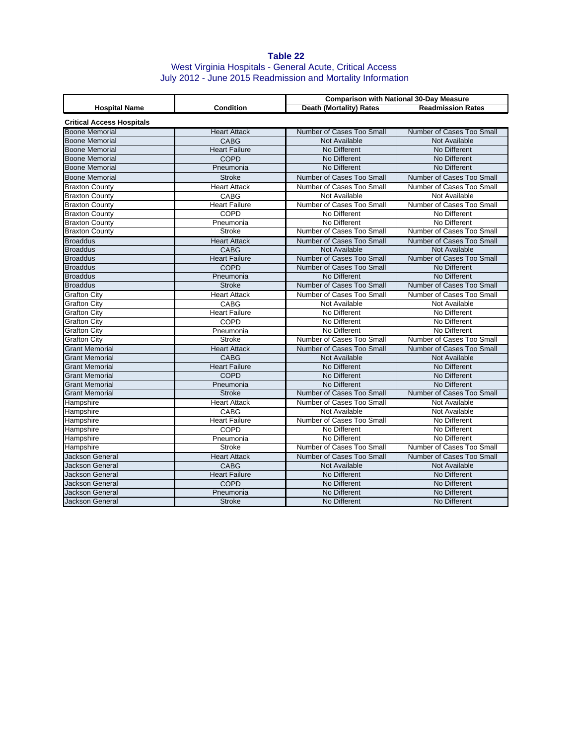|                                  |                      | <b>Comparison with National 30-Day Measure</b> |                           |
|----------------------------------|----------------------|------------------------------------------------|---------------------------|
| <b>Hospital Name</b>             | <b>Condition</b>     | Death (Mortality) Rates                        | <b>Readmission Rates</b>  |
| <b>Critical Access Hospitals</b> |                      |                                                |                           |
| <b>Boone Memorial</b>            | <b>Heart Attack</b>  | Number of Cases Too Small                      | Number of Cases Too Small |
| <b>Boone Memorial</b>            | CABG                 | Not Available                                  | Not Available             |
| <b>Boone Memorial</b>            | <b>Heart Failure</b> | No Different                                   | No Different              |
| <b>Boone Memorial</b>            | <b>COPD</b>          | No Different                                   | No Different              |
| <b>Boone Memorial</b>            | Pneumonia            | No Different                                   | No Different              |
| <b>Boone Memorial</b>            | <b>Stroke</b>        | Number of Cases Too Small                      | Number of Cases Too Small |
| <b>Braxton County</b>            | <b>Heart Attack</b>  | Number of Cases Too Small                      | Number of Cases Too Small |
| <b>Braxton County</b>            | CABG                 | Not Available                                  | Not Available             |
| <b>Braxton County</b>            | <b>Heart Failure</b> | Number of Cases Too Small                      | Number of Cases Too Small |
| <b>Braxton County</b>            | <b>COPD</b>          | No Different                                   | No Different              |
| <b>Braxton County</b>            | Pneumonia            | No Different                                   | No Different              |
| <b>Braxton County</b>            | <b>Stroke</b>        | Number of Cases Too Small                      | Number of Cases Too Small |
| <b>Broaddus</b>                  | <b>Heart Attack</b>  | Number of Cases Too Small                      | Number of Cases Too Small |
| <b>Broaddus</b>                  | <b>CABG</b>          | Not Available                                  | <b>Not Available</b>      |
| <b>Broaddus</b>                  | <b>Heart Failure</b> | Number of Cases Too Small                      | Number of Cases Too Small |
| <b>Broaddus</b>                  | <b>COPD</b>          | Number of Cases Too Small                      | No Different              |
| <b>Broaddus</b>                  | Pneumonia            | No Different                                   | No Different              |
| <b>Broaddus</b>                  | <b>Stroke</b>        | Number of Cases Too Small                      | Number of Cases Too Small |
| Grafton City                     | <b>Heart Attack</b>  | Number of Cases Too Small                      | Number of Cases Too Small |
| Grafton City                     | CABG                 | Not Available                                  | Not Available             |
| Grafton City                     | <b>Heart Failure</b> | No Different                                   | No Different              |
| Grafton Citv                     | COPD                 | No Different                                   | No Different              |
| Grafton City                     | Pneumonia            | No Different                                   | No Different              |
| Grafton City                     | <b>Stroke</b>        | Number of Cases Too Small                      | Number of Cases Too Small |
| <b>Grant Memorial</b>            | <b>Heart Attack</b>  | Number of Cases Too Small                      | Number of Cases Too Small |
| <b>Grant Memorial</b>            | <b>CABG</b>          | <b>Not Available</b>                           | <b>Not Available</b>      |
| <b>Grant Memorial</b>            | <b>Heart Failure</b> | No Different                                   | No Different              |
| <b>Grant Memorial</b>            | <b>COPD</b>          | No Different                                   | No Different              |
| Grant Memorial                   | Pneumonia            | No Different                                   | No Different              |
| <b>Grant Memorial</b>            | <b>Stroke</b>        | Number of Cases Too Small                      | Number of Cases Too Small |
| Hampshire                        | <b>Heart Attack</b>  | Number of Cases Too Small                      | Not Available             |
| Hampshire                        | CABG                 | Not Available                                  | Not Available             |
| Hampshire                        | <b>Heart Failure</b> | Number of Cases Too Small                      | No Different              |
| Hampshire                        | COPD                 | No Different                                   | No Different              |
| Hampshire                        | Pneumonia            | No Different                                   | No Different              |
| Hampshire                        | <b>Stroke</b>        | Number of Cases Too Small                      | Number of Cases Too Small |
| <b>Jackson General</b>           | <b>Heart Attack</b>  | Number of Cases Too Small                      | Number of Cases Too Small |
| <b>Jackson General</b>           | <b>CABG</b>          | Not Available                                  | Not Available             |
| Jackson General                  | <b>Heart Failure</b> | No Different                                   | No Different              |
| <b>Jackson General</b>           | <b>COPD</b>          | No Different                                   | No Different              |
| Jackson General                  | Pneumonia            | No Different                                   | No Different              |
| <b>Jackson General</b>           | <b>Stroke</b>        | No Different                                   | No Different              |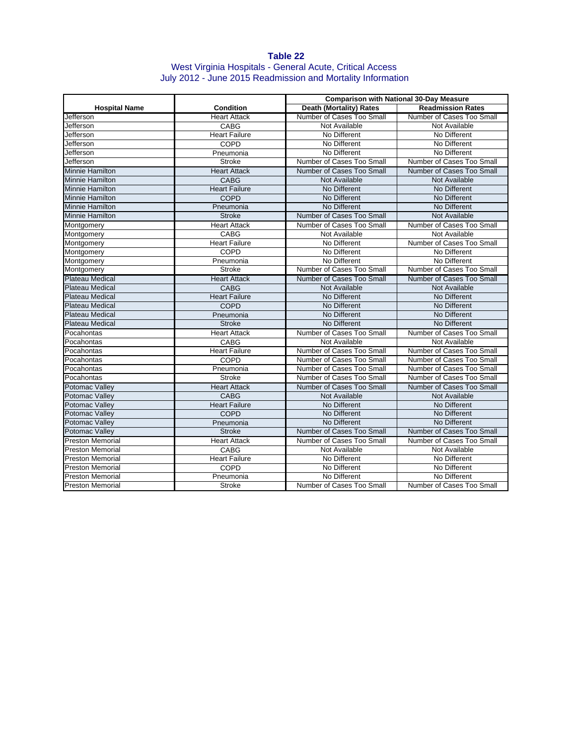| <b>Comparison with National 30-Day Measure</b> |                      |                                |                           |
|------------------------------------------------|----------------------|--------------------------------|---------------------------|
| <b>Hospital Name</b>                           | <b>Condition</b>     | <b>Death (Mortality) Rates</b> | <b>Readmission Rates</b>  |
| Jefferson                                      | <b>Heart Attack</b>  | Number of Cases Too Small      | Number of Cases Too Small |
| Jefferson                                      | <b>CABG</b>          | Not Available                  | Not Available             |
| <b>Jefferson</b>                               | <b>Heart Failure</b> | No Different                   | No Different              |
| Jefferson                                      | COPD                 | No Different                   | No Different              |
| Jefferson                                      | Pneumonia            | No Different                   | No Different              |
| Jefferson                                      | <b>Stroke</b>        | Number of Cases Too Small      | Number of Cases Too Small |
| <b>Minnie Hamilton</b>                         | <b>Heart Attack</b>  | Number of Cases Too Small      | Number of Cases Too Small |
| Minnie Hamilton                                | <b>CABG</b>          | Not Available                  | Not Available             |
| Minnie Hamilton                                | <b>Heart Failure</b> | No Different                   | No Different              |
| <b>Minnie Hamilton</b>                         | <b>COPD</b>          | No Different                   | No Different              |
| Minnie Hamilton                                | Pneumonia            | No Different                   | No Different              |
| Minnie Hamilton                                | Stroke               | Number of Cases Too Small      | Not Available             |
| Montgomery                                     | <b>Heart Attack</b>  | Number of Cases Too Small      | Number of Cases Too Small |
| Montgomery                                     | CABG                 | Not Available                  | Not Available             |
| Montgomery                                     | <b>Heart Failure</b> | No Different                   | Number of Cases Too Small |
| Montgomery                                     | COPD                 | No Different                   | No Different              |
| Montgomery                                     | Pneumonia            | No Different                   | No Different              |
| Montgomery                                     | <b>Stroke</b>        | Number of Cases Too Small      | Number of Cases Too Small |
| Plateau Medical                                | <b>Heart Attack</b>  | Number of Cases Too Small      | Number of Cases Too Small |
| <b>Plateau Medical</b>                         | CABG                 | Not Available                  | Not Available             |
| Plateau Medical                                | <b>Heart Failure</b> | No Different                   | No Different              |
| Plateau Medical                                | <b>COPD</b>          | No Different                   | No Different              |
| Plateau Medical                                | Pneumonia            | No Different                   | No Different              |
| Plateau Medical                                | <b>Stroke</b>        | No Different                   | No Different              |
| Pocahontas                                     | <b>Heart Attack</b>  | Number of Cases Too Small      | Number of Cases Too Small |
| Pocahontas                                     | CABG                 | Not Available                  | Not Available             |
| Pocahontas                                     | <b>Heart Failure</b> | Number of Cases Too Small      | Number of Cases Too Small |
| Pocahontas                                     | COPD                 | Number of Cases Too Small      | Number of Cases Too Small |
| Pocahontas                                     | Pneumonia            | Number of Cases Too Small      | Number of Cases Too Small |
| Pocahontas                                     | <b>Stroke</b>        | Number of Cases Too Small      | Number of Cases Too Small |
| <b>Potomac Valley</b>                          | <b>Heart Attack</b>  | Number of Cases Too Small      | Number of Cases Too Small |
| Potomac Valley                                 | <b>CABG</b>          | Not Available                  | Not Available             |
| Potomac Vallev                                 | <b>Heart Failure</b> | No Different                   | No Different              |
| Potomac Valley                                 | <b>COPD</b>          | No Different                   | No Different              |
| Potomac Valley                                 | Pneumonia            | No Different                   | No Different              |
| <b>Potomac Valley</b>                          | <b>Stroke</b>        | Number of Cases Too Small      | Number of Cases Too Small |
| <b>Preston Memorial</b>                        | <b>Heart Attack</b>  | Number of Cases Too Small      | Number of Cases Too Small |
| <b>Preston Memorial</b>                        | CABG                 | Not Available                  | Not Available             |
| <b>Preston Memorial</b>                        | <b>Heart Failure</b> | No Different                   | No Different              |
| <b>Preston Memorial</b>                        | COPD                 | No Different                   | No Different              |
| <b>Preston Memorial</b>                        | Pneumonia            | No Different                   | No Different              |
| <b>Preston Memorial</b>                        | <b>Stroke</b>        | Number of Cases Too Small      | Number of Cases Too Small |